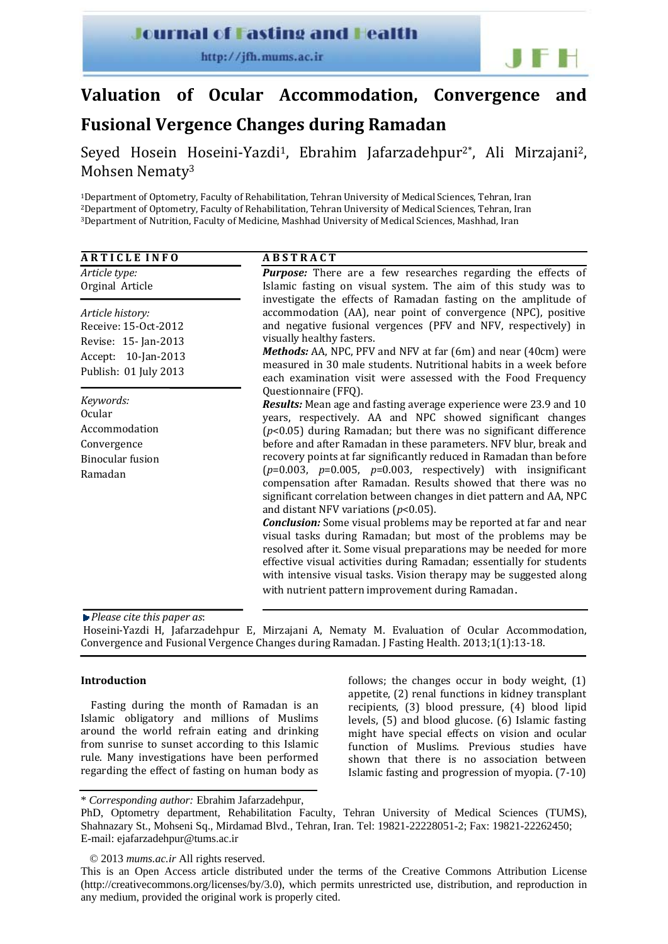### **Journal of Fasting and Health**

http://jfh.mums.ac.ir



# **Valuation of Ocular Accommodation, Convergence and**

## **Fusional Vergence Changes during Ramadan**

Seyed Hosein Hoseini-Yazdi<sup>1</sup>, Ebrahim Jafarzadehpur<sup>2\*</sup>, Ali Mirzajani<sup>2</sup>, Mohsen Nematy3

1Department of Optometry, Faculty of Rehabilitation, Tehran University of Medical Sciences, Tehran, Iran 2Department of Optometry, Faculty of Rehabilitation, Tehran University of Medical Sciences, Tehran, Iran 3Department of Nutrition, Faculty of Medicine, Mashhad University of Medical Sciences, Mashhad, Iran

| <b>ARTICLE INFO</b>                                                                                              | <b>ABSTRACT</b>                                                                                                                                                                                                                                                                                                                                                                                                                                                                                                                                                                                                                                                                                                                                                                                                                                                                                                                                                                                                                                    |  |  |  |
|------------------------------------------------------------------------------------------------------------------|----------------------------------------------------------------------------------------------------------------------------------------------------------------------------------------------------------------------------------------------------------------------------------------------------------------------------------------------------------------------------------------------------------------------------------------------------------------------------------------------------------------------------------------------------------------------------------------------------------------------------------------------------------------------------------------------------------------------------------------------------------------------------------------------------------------------------------------------------------------------------------------------------------------------------------------------------------------------------------------------------------------------------------------------------|--|--|--|
| Article type:<br>Orginal Article                                                                                 | <b>Purpose:</b> There are a few researches regarding the effects of<br>Islamic fasting on visual system. The aim of this study was to                                                                                                                                                                                                                                                                                                                                                                                                                                                                                                                                                                                                                                                                                                                                                                                                                                                                                                              |  |  |  |
| Article history:<br>Receive: 15-Oct-2012<br>Revise: 15- Jan-2013<br>Accept: 10-Jan-2013<br>Publish: 01 July 2013 | investigate the effects of Ramadan fasting on the amplitude of<br>accommodation (AA), near point of convergence (NPC), positive<br>and negative fusional vergences (PFV and NFV, respectively) in<br>visually healthy fasters.<br>Methods: AA, NPC, PFV and NFV at far (6m) and near (40cm) were<br>measured in 30 male students. Nutritional habits in a week before<br>each examination visit were assessed with the Food Frequency                                                                                                                                                                                                                                                                                                                                                                                                                                                                                                                                                                                                              |  |  |  |
| Keywords:<br><b>Ocular</b><br>Accommodation<br>Convergence<br><b>Binocular</b> fusion<br>Ramadan                 | Questionnaire (FFQ).<br>Results: Mean age and fasting average experience were 23.9 and 10<br>years, respectively. AA and NPC showed significant changes<br>$(p<0.05)$ during Ramadan; but there was no significant difference<br>before and after Ramadan in these parameters. NFV blur, break and<br>recovery points at far significantly reduced in Ramadan than before<br>$(p=0.003, p=0.005, p=0.003, respectively)$ with insignificant<br>compensation after Ramadan. Results showed that there was no<br>significant correlation between changes in diet pattern and AA, NPC<br>and distant NFV variations ( $p$ <0.05).<br><b>Conclusion:</b> Some visual problems may be reported at far and near<br>visual tasks during Ramadan; but most of the problems may be<br>resolved after it. Some visual preparations may be needed for more<br>effective visual activities during Ramadan; essentially for students<br>with intensive visual tasks. Vision therapy may be suggested along<br>with nutrient pattern improvement during Ramadan. |  |  |  |

*Please cite this paper as*:

Hoseini-Yazdi H, Jafarzadehpur E, Mirzajani A, Nematy M. Evaluation of Ocular Accommodation, Convergence and Fusional Vergence Changes during Ramadan. J Fasting Health. 2013;1(1):13‐18.

#### **Introduction**

Fasting during the month of Ramadan is an Islamic obligatory and millions of Muslims around the world refrain eating and drinking from sunrise to sunset according to this Islamic rule. Many investigations have been performed regarding the effect of fasting on human body as

follows; the changes occur in body weight, (1) appetite, (2) renal functions in kidney transplant recipients, (3) blood pressure, (4) blood lipid levels, (5) and blood glucose. (6) Islamic fasting might have special effects on vision and ocular function of Muslims. Previous studies have shown that there is no association between Islamic fasting and progression of myopia. (7‐10)

\* *Corresponding author:* Ebrahim Jafarzadehpur,

PhD, Optometry department, Rehabilitation Faculty, Tehran University of Medical Sciences (TUMS), Shahnazary St., Mohseni Sq., Mirdamad Blvd., Tehran, Iran. Tel: 19821-22228051-2; Fax: 19821-22262450; E-mail: ejafarzadehpur@tums.ac.ir

© 2013 *mums.ac.ir* All rights reserved.

This is an Open Access article distributed under the terms of the Creative Commons Attribution License (http://creativecommons.org/licenses/by/3.0), which permits unrestricted use, distribution, and reproduction in any medium, provided the original work is properly cited.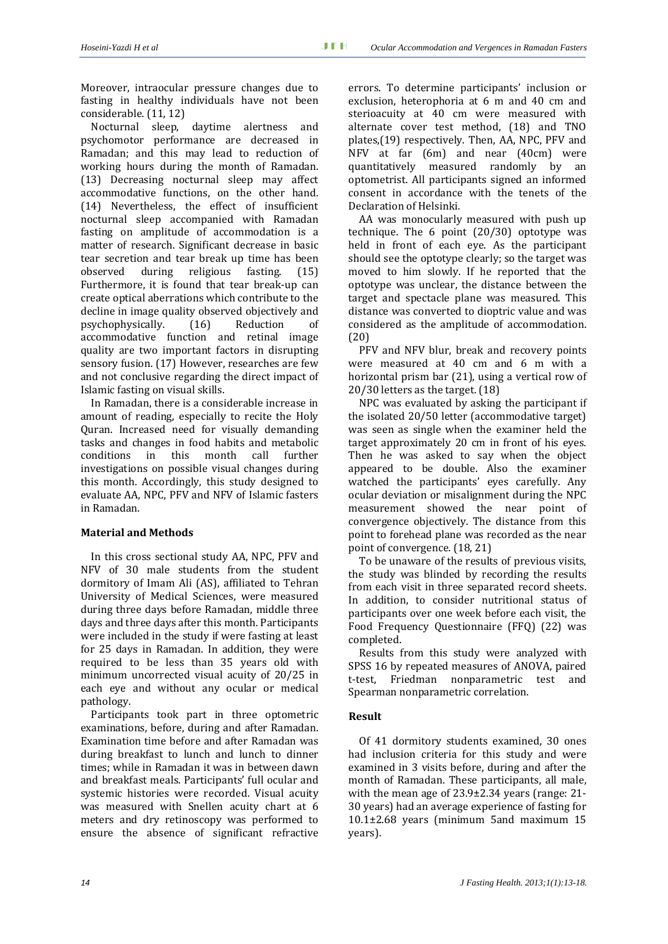Moreover, intraocular pressure changes due to fasting in healthy individuals have not been considerable. (11, 12)

Nocturnal sleep, daytime alertness and psychomotor performance are decreased in Ramadan; and this may lead to reduction of working hours during the month of Ramadan. (13) Decreasing nocturnal sleep may affect accommodative functions, on the other hand. (14) Nevertheless, the effect of insufficient nocturnal sleep accompanied with Ramadan fasting on amplitude of accommodation is a matter of research. Significant decrease in basic tear secretion and tear break up time has been observed during religious fasting. (15) Furthermore, it is found that tear break‐up can create optical aberrations which contribute to the decline in image quality observed objectively and psychophysically. (16) Reduction of accommodative function and retinal image quality are two important factors in disrupting sensory fusion. (17) However, researches are few and not conclusive regarding the direct impact of Islamic fasting on visual skills.

In Ramadan, there is a considerable increase in amount of reading, especially to recite the Holy Quran. Increased need for visually demanding tasks and changes in food habits and metabolic conditions in this month call further investigations on possible visual changes during this month. Accordingly, this study designed to evaluate AA, NPC, PFV and NFV of Islamic fasters in Ramadan.

#### **Material and Methods**

In this cross sectional study AA, NPC, PFV and NFV of 30 male students from the student dormitory of Imam Ali (AS), affiliated to Tehran University of Medical Sciences, were measured during three days before Ramadan, middle three days and three days after this month. Participants were included in the study if were fasting at least for 25 days in Ramadan. In addition, they were required to be less than 35 years old with minimum uncorrected visual acuity of 20/25 in each eye and without any ocular or medical pathology.

Participants took part in three optometric examinations, before, during and after Ramadan. Examination time before and after Ramadan was during breakfast to lunch and lunch to dinner times; while in Ramadan it was in between dawn and breakfast meals. Participants' full ocular and systemic histories were recorded. Visual acuity was measured with Snellen acuity chart at 6 meters and dry retinoscopy was performed to ensure the absence of significant refractive

errors. To determine participants' inclusion or exclusion, heterophoria at 6 m and 40 cm and sterioacuity at 40 cm were measured with alternate cover test method, (18) and TNO plates,(19) respectively. Then, AA, NPC, PFV and NFV at far (6m) and near (40cm) were quantitatively measured randomly by an optometrist. All participants signed an informed consent in accordance with the tenets of the Declaration of Helsinki.

AA was monocularly measured with push up technique. The  $6$  point  $(20/30)$  optotype was held in front of each eve. As the participant should see the optotype clearly; so the target was moved to him slowly. If he reported that the optotype was unclear, the distance between the target and spectacle plane was measured. This distance was converted to dioptric value and was considered as the amplitude of accommodation. (20)

PFV and NFV blur, break and recovery points were measured at 40 cm and 6 m with a horizontal prism bar (21), using a vertical row of 20/30 letters as the target. (18)

NPC was evaluated by asking the participant if the isolated 20/50 letter (accommodative target) was seen as single when the examiner held the target approximately 20 cm in front of his eyes. Then he was asked to say when the object appeared to be double. Also the examiner watched the participants' eyes carefully. Any ocular deviation or misalignment during the NPC measurement showed the near point of convergence objectively. The distance from this point to forehead plane was recorded as the near point of convergence. (18, 21)

To be unaware of the results of previous visits, the study was blinded by recording the results from each visit in three separated record sheets. In addition, to consider nutritional status of participants over one week before each visit, the Food Frequency Questionnaire (FFQ) (22) was completed.

Results from this study were analyzed with SPSS 16 by repeated measures of ANOVA, paired t‐test, Friedman nonparametric test and Spearman nonparametric correlation.

#### **Result**

Of 41 dormitory students examined, 30 ones had inclusion criteria for this study and were examined in 3 visits before, during and after the month of Ramadan. These participants, all male, with the mean age of 23.9±2.34 years (range: 21‐ 30 years) had an average experience of fasting for 10.1±2.68 years (minimum 5and maximum 15 years).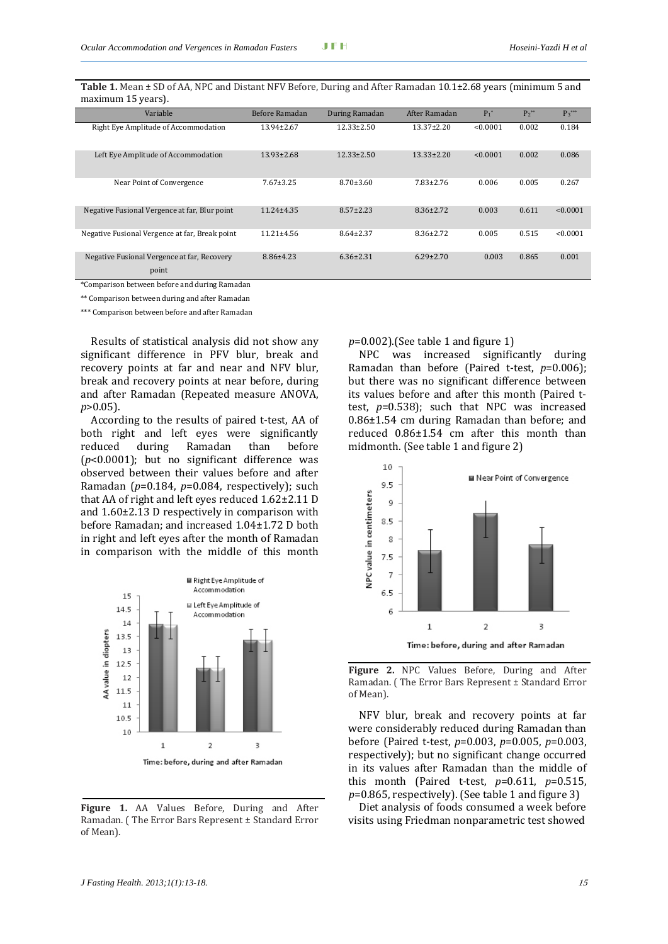| Variable                                             | Before Ramadan   | During Ramadan   | After Ramadan    | $P_1^*$  | $P_2^{**}$ | $P_3***$ |
|------------------------------------------------------|------------------|------------------|------------------|----------|------------|----------|
| Right Eye Amplitude of Accommodation                 | $13.94 \pm 2.67$ | $12.33 \pm 2.50$ | $13.37 \pm 2.20$ | < 0.0001 | 0.002      | 0.184    |
| Left Eye Amplitude of Accommodation                  | $13.93 \pm 2.68$ | $12.33 \pm 2.50$ | $13.33 \pm 2.20$ | < 0.0001 | 0.002      | 0.086    |
| Near Point of Convergence                            | $7.67 \pm 3.25$  | $8.70 \pm 3.60$  | $7.83 \pm 2.76$  | 0.006    | 0.005      | 0.267    |
| Negative Fusional Vergence at far, Blur point        | $11.24 \pm 4.35$ | $8.57 \pm 2.23$  | $8.36 \pm 2.72$  | 0.003    | 0.611      | < 0.0001 |
| Negative Fusional Vergence at far, Break point       | $11.21 \pm 4.56$ | $8.64 \pm 2.37$  | $8.36 \pm 2.72$  | 0.005    | 0.515      | < 0.0001 |
| Negative Fusional Vergence at far, Recovery<br>point | $8.86{\pm}4.23$  | $6.36 \pm 2.31$  | $6.29 \pm 2.70$  | 0.003    | 0.865      | 0.001    |

**Table 1.** Mean ± SD of AA, NPC and Distant NFV Before, During and After Ramadan 10.1±2.68 years (minimum 5 and maximum 15 years).

\*Comparison between before and during Ramadan

\*\* Comparison between during and after Ramadan

\*\*\* Comparison between before and after Ramadan

Results of statistical analysis did not show any significant difference in PFV blur, break and recovery points at far and near and NFV blur, break and recovery points at near before, during and after Ramadan (Repeated measure ANOVA, *p*>0.05).

According to the results of paired t‐test, AA of both right and left eyes were significantly reduced during Ramadan than before (*p*<0.0001); but no significant difference was observed between their values before and after Ramadan (*p*=0.184, *p*=0.084, respectively); such that AA of right and left eyes reduced 1.62±2.11 D and 1.60±2.13 D respectively in comparison with before Ramadan; and increased 1.04±1.72 D both in right and left eyes after the month of Ramadan in comparison with the middle of this month



**Figure 1.** AA Values Before, During and After Ramadan. ( The Error Bars Represent ± Standard Error of Mean).

*p*=0.002).(See table 1 and figure 1)

NPC was increased significantly during Ramadan than before (Paired t-test,  $p=0.006$ ); but there was no significant difference between its values before and after this month (Paired t‐ test,  $p=0.538$ ; such that NPC was increased 0.86±1.54 cm during Ramadan than before; and reduced 0.86±1.54 cm after this month than midmonth. (See table 1 and figure 2)



**Figure 2.** NPC Values Before, During and After Ramadan. ( The Error Bars Represent ± Standard Error of Mean).

NFV blur, break and recovery points at far were considerably reduced during Ramadan than before (Paired t‐test, *p*=0.003, *p*=0.005, *p*=0.003, respectively); but no significant change occurred in its values after Ramadan than the middle of this month (Paired t‐test, *p*=0.611, *p*=0.515, *p*=0.865, respectively). (See table 1 and figure 3)

Diet analysis of foods consumed a week before visits using Friedman nonparametric test showed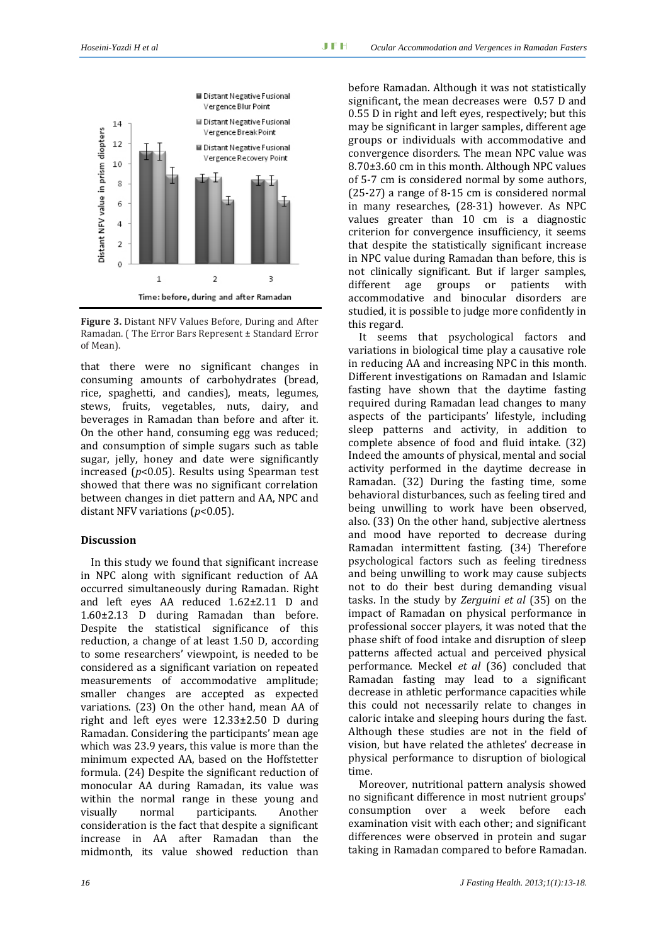

**Figure 3.** Distant NFV Values Before, During and After Ramadan. ( The Error Bars Represent ± Standard Error of Mean).

that there were no significant changes in consuming amounts of carbohydrates (bread, rice, spaghetti, and candies), meats, legumes, stews, fruits, vegetables, nuts, dairy, and beverages in Ramadan than before and after it. On the other hand, consuming egg was reduced; and consumption of simple sugars such as table sugar, jelly, honey and date were significantly increased (*p*<0.05). Results using Spearman test showed that there was no significant correlation between changes in diet pattern and AA, NPC and distant NFV variations (*p*<0.05).

#### **Discussion**

In this study we found that significant increase in NPC along with significant reduction of AA occurred simultaneously during Ramadan. Right and left eyes AA reduced 1.62±2.11 D and 1.60±2.13 D during Ramadan than before. Despite the statistical significance of this reduction, a change of at least 1.50 D, according to some researchers' viewpoint, is needed to be considered as a significant variation on repeated measurements of accommodative amplitude; smaller changes are accepted as expected variations. (23) On the other hand, mean AA of right and left eyes were  $12.33\pm2.50$  D during Ramadan. Considering the participants' mean age which was 23.9 years, this value is more than the minimum expected AA, based on the Hoffstetter formula. (24) Despite the significant reduction of monocular AA during Ramadan, its value was within the normal range in these young and visually normal participants. Another consideration is the fact that despite a significant increase in AA after Ramadan than the midmonth, its value showed reduction than before Ramadan. Although it was not statistically significant, the mean decreases were 0.57 D and 0.55 D in right and left eyes, respectively; but this may be significant in larger samples, different age groups or individuals with accommodative and convergence disorders. The mean NPC value was 8.70±3.60 cm in this month. Although NPC values of 5‐7 cm is considered normal by some authors, (25‐27) a range of 8‐15 cm is considered normal in many researches, (28‐31) however. As NPC values greater than 10 cm is a diagnostic criterion for convergence insufficiency, it seems that despite the statistically significant increase in NPC value during Ramadan than before, this is not clinically significant. But if larger samples, different age groups or patients with accommodative and binocular disorders are studied, it is possible to judge more confidently in this regard.

It seems that psychological factors and variations in biological time play a causative role in reducing AA and increasing NPC in this month. Different investigations on Ramadan and Islamic fasting have shown that the daytime fasting required during Ramadan lead changes to many aspects of the participants' lifestyle, including sleep patterns and activity, in addition to complete absence of food and fluid intake. (32) Indeed the amounts of physical, mental and social activity performed in the daytime decrease in Ramadan. (32) During the fasting time, some behavioral disturbances, such as feeling tired and being unwilling to work have been observed, also. (33) On the other hand, subjective alertness and mood have reported to decrease during Ramadan intermittent fasting. (34) Therefore psychological factors such as feeling tiredness and being unwilling to work may cause subjects not to do their best during demanding visual tasks. In the study by *Zerguini et al* (35) on the impact of Ramadan on physical performance in professional soccer players, it was noted that the phase shift of food intake and disruption of sleep patterns affected actual and perceived physical performance. Meckel *et al* (36) concluded that Ramadan fasting may lead to a significant decrease in athletic performance capacities while this could not necessarily relate to changes in caloric intake and sleeping hours during the fast. Although these studies are not in the field of vision, but have related the athletes' decrease in physical performance to disruption of biological time.

Moreover, nutritional pattern analysis showed no significant difference in most nutrient groups' consumption over a week before each examination visit with each other; and significant differences were observed in protein and sugar taking in Ramadan compared to before Ramadan.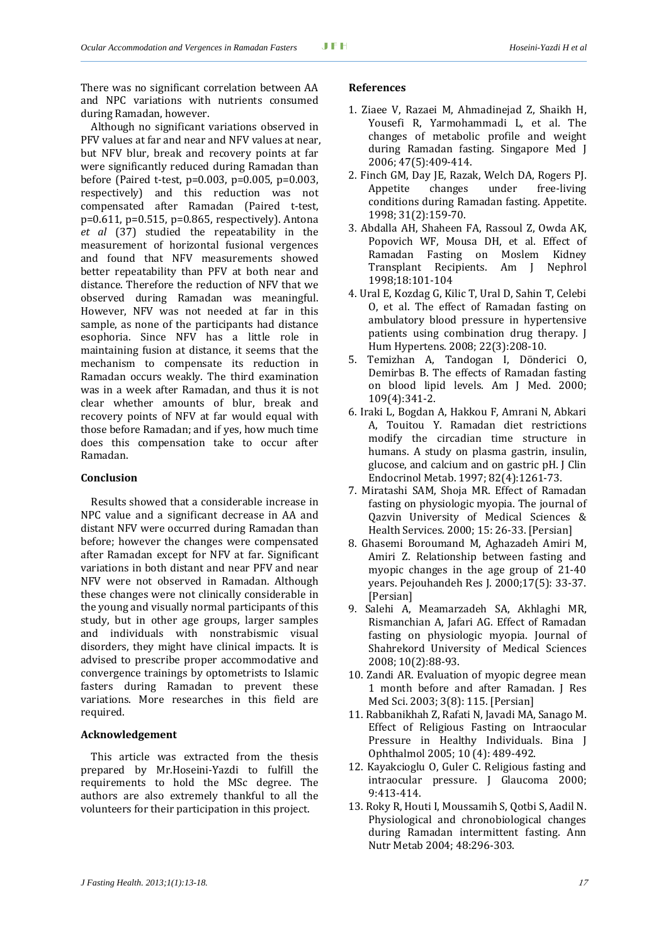There was no significant correlation between AA and NPC variations with nutrients consumed during Ramadan, however.

Although no significant variations observed in PFV values at far and near and NFV values at near, but NFV blur, break and recovery points at far were significantly reduced during Ramadan than before (Paired t-test,  $p=0.003$ ,  $p=0.005$ ,  $p=0.003$ , respectively) and this reduction was not compensated after Ramadan (Paired t‐test, p=0.611, p=0.515, p=0.865, respectively). Antona *et al* (37) studied the repeatability in the measurement of horizontal fusional vergences and found that NFV measurements showed better repeatability than PFV at both near and distance. Therefore the reduction of NFV that we observed during Ramadan was meaningful. However, NFV was not needed at far in this sample, as none of the participants had distance esophoria. Since NFV has a little role in maintaining fusion at distance, it seems that the mechanism to compensate its reduction in Ramadan occurs weakly. The third examination was in a week after Ramadan, and thus it is not clear whether amounts of blur, break and recovery points of NFV at far would equal with those before Ramadan; and if yes, how much time does this compensation take to occur after Ramadan.

#### **Conclusion**

Results showed that a considerable increase in NPC value and a significant decrease in AA and distant NFV were occurred during Ramadan than before; however the changes were compensated after Ramadan except for NFV at far. Significant variations in both distant and near PFV and near NFV were not observed in Ramadan. Although these changes were not clinically considerable in the young and visually normal participants of this study, but in other age groups, larger samples and individuals with nonstrabismic visual disorders, they might have clinical impacts. It is advised to prescribe proper accommodative and convergence trainings by optometrists to Islamic fasters during Ramadan to prevent these variations. More researches in this field are required.

#### **Acknowledgement**

This article was extracted from the thesis prepared by Mr.Hoseini‐Yazdi to fulfill the requirements to hold the MSc degree. The authors are also extremely thankful to all the volunteers for their participation in this project.

#### **References**

- 1. Ziaee V, Razaei M, Ahmadinejad Z, Shaikh H, Yousefi R, Yarmohammadi L, et al. The changes of metabolic profile and weight during Ramadan fasting. Singapore Med J 2006; 47(5):409‐414.
- 2. Finch GM, Day JE, Razak, Welch DA, Rogers PJ. Appetite changes under free‐living conditions during Ramadan fasting. Appetite. 1998; 31(2):159‐70.
- 3. Abdalla AH, Shaheen FA, Rassoul Z, Owda AK, Popovich WF, Mousa DH, et al. Effect of Ramadan Fasting on Moslem Kidney Transplant Recipients. Am J Nephrol 1998;18:101‐104
- 4. Ural E, Kozdag G, Kilic T, Ural D, Sahin T, Celebi O, et al. The effect of Ramadan fasting on ambulatory blood pressure in hypertensive patients using combination drug therapy. J Hum Hypertens. 2008; 22(3):208‐10.
- 5. Temizhan A, Tandogan I, Dönderici O, Demirbas B. The effects of Ramadan fasting on blood lipid levels. Am J Med. 2000; 109(4):341‐2.
- 6. Iraki L, Bogdan A, Hakkou F, Amrani N, Abkari A, Touitou Y. Ramadan diet restrictions modify the circadian time structure in humans. A study on plasma gastrin, insulin, glucose, and calcium and on gastric pH. J Clin Endocrinol Metab. 1997; 82(4):1261‐73.
- 7. Miratashi SAM, Shoja MR. Effect of Ramadan fasting on physiologic myopia. The journal of Qazvin University of Medical Sciences & Health Services. 2000; 15: 26‐33. [Persian]
- 8. Ghasemi Boroumand M, Aghazadeh Amiri M, Amiri Z. Relationship between fasting and myopic changes in the age group of 21‐40 years. Pejouhandeh Res J. 2000;17(5): 33‐37. [Persian]
- 9. Salehi A, Meamarzadeh SA, Akhlaghi MR, Rismanchian A, Jafari AG. Effect of Ramadan fasting on physiologic myopia. Journal of Shahrekord University of Medical Sciences 2008; 10(2):88‐93.
- 10. Zandi AR. Evaluation of myopic degree mean 1 month before and after Ramadan. J Res Med Sci. 2003; 3(8): 115. [Persian]
- 11. Rabbanikhah Z, Rafati N, Javadi MA, Sanago M. Effect of Religious Fasting on Intraocular Pressure in Healthy Individuals. Bina J Ophthalmol 2005; 10 (4): 489‐492.
- 12. Kayakcioglu O, Guler C. Religious fasting and intraocular pressure. J Glaucoma 2000; 9:413‐414.
- 13. Roky R, Houti I, Moussamih S, Qotbi S, Aadil N. Physiological and chronobiological changes during Ramadan intermittent fasting. Ann Nutr Metab 2004; 48:296‐303.